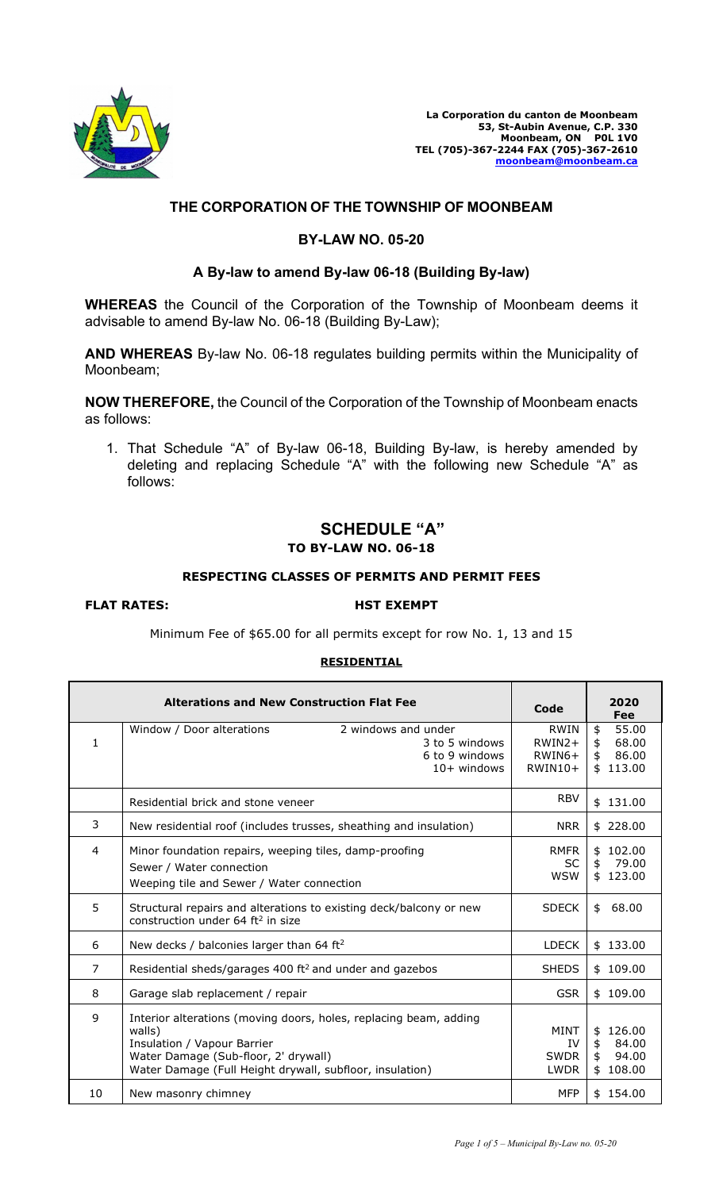

**La Corporation du canton de Moonbeam 53, St-Aubin Avenue, C.P. 330 Moonbeam, ON P0L 1V0 TEL (705)-367-2244 FAX (705)-367-2610 [moonbeam@moonbeam.ca](mailto:moonbeam@moonbeam.ca)**

## **THE CORPORATION OF THE TOWNSHIP OF MOONBEAM**

## **BY-LAW NO. 05-20**

## **A By-law to amend By-law 06-18 (Building By-law)**

**WHEREAS** the Council of the Corporation of the Township of Moonbeam deems it advisable to amend By-law No. 06-18 (Building By-Law);

**AND WHEREAS** By-law No. 06-18 regulates building permits within the Municipality of Moonbeam;

**NOW THEREFORE,** the Council of the Corporation of the Township of Moonbeam enacts as follows:

1. That Schedule "A" of By-law 06-18, Building By-law, is hereby amended by deleting and replacing Schedule "A" with the following new Schedule "A" as follows:

# **SCHEDULE "A" TO BY-LAW NO. 06-18**

## **RESPECTING CLASSES OF PERMITS AND PERMIT FEES**

## FLAT RATES: HST EXEMPT

Minimum Fee of \$65.00 for all permits except for row No. 1, 13 and 15

## **RESIDENTIAL**

|    | <b>Alterations and New Construction Flat Fee</b>                                                                                                                                                               | Code                                      | 2020<br>Fee                                                        |
|----|----------------------------------------------------------------------------------------------------------------------------------------------------------------------------------------------------------------|-------------------------------------------|--------------------------------------------------------------------|
| 1  | 2 windows and under<br>Window / Door alterations<br>3 to 5 windows<br>6 to 9 windows<br>$10+$ windows                                                                                                          | RWIN<br>$RWIN2+$<br>$RWIN6+$<br>$RWIN10+$ | \$<br>55.00<br>\$<br>68.00<br>86.00<br>\$<br>\$113.00              |
|    | Residential brick and stone veneer                                                                                                                                                                             | <b>RBV</b>                                | \$131.00                                                           |
| 3  | New residential roof (includes trusses, sheathing and insulation)                                                                                                                                              | <b>NRR</b>                                | \$228.00                                                           |
| 4  | Minor foundation repairs, weeping tiles, damp-proofing<br>Sewer / Water connection<br>Weeping tile and Sewer / Water connection                                                                                | <b>RMFR</b><br><b>SC</b><br><b>WSW</b>    | 102.00<br>\$<br>\$<br>79.00<br>\$123.00                            |
| 5  | Structural repairs and alterations to existing deck/balcony or new<br>construction under $64 \text{ ft}^2$ in size                                                                                             | <b>SDECK</b>                              | 68.00<br>\$                                                        |
| 6  | New decks / balconies larger than 64 ft <sup>2</sup>                                                                                                                                                           | <b>LDECK</b>                              | \$133.00                                                           |
| 7  | Residential sheds/garages 400 ft <sup>2</sup> and under and gazebos                                                                                                                                            | <b>SHEDS</b>                              | \$109.00                                                           |
| 8  | Garage slab replacement / repair                                                                                                                                                                               | <b>GSR</b>                                | \$109.00                                                           |
| 9  | Interior alterations (moving doors, holes, replacing beam, adding<br>walls)<br>Insulation / Vapour Barrier<br>Water Damage (Sub-floor, 2' drywall)<br>Water Damage (Full Height drywall, subfloor, insulation) | <b>MINT</b><br>IV<br>SWDR<br><b>LWDR</b>  | 126.00<br>\$<br>\$<br>84.00<br>$\ddagger$<br>94.00<br>\$<br>108.00 |
| 10 | New masonry chimney                                                                                                                                                                                            | <b>MFP</b>                                | \$154.00                                                           |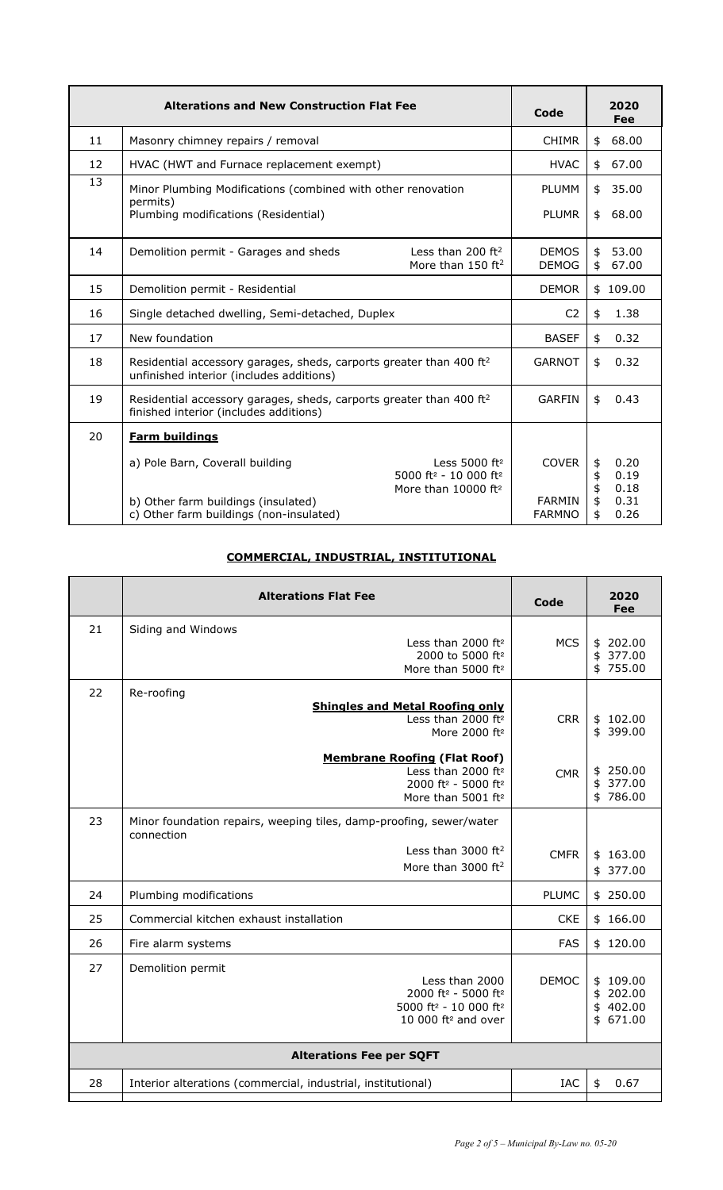|    | <b>Alterations and New Construction Flat Fee</b>                                                                            |                                                                                                                   | Code                           | 2020<br>Fee                            |
|----|-----------------------------------------------------------------------------------------------------------------------------|-------------------------------------------------------------------------------------------------------------------|--------------------------------|----------------------------------------|
| 11 | Masonry chimney repairs / removal                                                                                           |                                                                                                                   | <b>CHIMR</b>                   | \$<br>68.00                            |
| 12 | HVAC (HWT and Furnace replacement exempt)                                                                                   |                                                                                                                   | <b>HVAC</b>                    | 67.00<br>\$                            |
| 13 | Minor Plumbing Modifications (combined with other renovation<br>permits)                                                    |                                                                                                                   | <b>PLUMM</b>                   | 35.00<br>\$                            |
|    | Plumbing modifications (Residential)                                                                                        |                                                                                                                   | <b>PLUMR</b>                   | 68.00<br>\$                            |
| 14 | Demolition permit - Garages and sheds                                                                                       | Less than 200 ft <sup>2</sup><br>More than 150 $ft2$                                                              | <b>DEMOS</b><br><b>DEMOG</b>   | \$<br>53.00<br>67.00<br>\$             |
| 15 | Demolition permit - Residential                                                                                             |                                                                                                                   | <b>DEMOR</b>                   | \$109.00                               |
| 16 | Single detached dwelling, Semi-detached, Duplex                                                                             |                                                                                                                   | C <sub>2</sub>                 | 1.38<br>\$                             |
| 17 | New foundation                                                                                                              |                                                                                                                   | <b>BASEF</b>                   | 0.32<br>\$                             |
| 18 | Residential accessory garages, sheds, carports greater than 400 ft <sup>2</sup><br>unfinished interior (includes additions) |                                                                                                                   | <b>GARNOT</b>                  | 0.32<br>\$                             |
| 19 | Residential accessory garages, sheds, carports greater than 400 ft <sup>2</sup><br>finished interior (includes additions)   |                                                                                                                   | <b>GARFIN</b>                  | \$<br>0.43                             |
| 20 | <b>Farm buildings</b>                                                                                                       |                                                                                                                   |                                |                                        |
|    | a) Pole Barn, Coverall building                                                                                             | Less $5000$ ft <sup>2</sup><br>5000 ft <sup>2</sup> - 10 000 ft <sup>2</sup><br>More than $10000$ ft <sup>2</sup> | <b>COVER</b>                   | 0.20<br>\$<br>\$<br>0.19<br>\$<br>0.18 |
|    | b) Other farm buildings (insulated)<br>c) Other farm buildings (non-insulated)                                              |                                                                                                                   | <b>FARMIN</b><br><b>FARMNO</b> | \$<br>0.31<br>0.26<br>\$               |

## **COMMERCIAL, INDUSTRIAL, INSTITUTIONAL**

|                                 | <b>Alterations Flat Fee</b>                                                                                                                                                                                                                                                   | Code                     | 2020<br>Fee                                                                  |
|---------------------------------|-------------------------------------------------------------------------------------------------------------------------------------------------------------------------------------------------------------------------------------------------------------------------------|--------------------------|------------------------------------------------------------------------------|
| 21                              | Siding and Windows<br>Less than $2000$ ft <sup>2</sup><br>2000 to 5000 ft <sup>2</sup><br>More than 5000 ft <sup>2</sup>                                                                                                                                                      | <b>MCS</b>               | 202.00<br>\$<br>377.00<br>\$<br>755.00<br>\$                                 |
| 22                              | Re-roofing<br><b>Shingles and Metal Roofing only</b><br>Less than 2000 ft <sup>2</sup><br>More 2000 ft <sup>2</sup><br><b>Membrane Roofing (Flat Roof)</b><br>Less than 2000 ft <sup>2</sup><br>2000 ft <sup>2</sup> - 5000 ft <sup>2</sup><br>More than 5001 ft <sup>2</sup> | <b>CRR</b><br><b>CMR</b> | 102.00<br>\$<br>399.00<br>\$<br>250.00<br>\$<br>\$<br>377.00<br>786.00<br>\$ |
| 23                              | Minor foundation repairs, weeping tiles, damp-proofing, sewer/water<br>connection<br>Less than 3000 ft <sup>2</sup><br>More than 3000 ft <sup>2</sup>                                                                                                                         | <b>CMFR</b>              | \$163.00<br>377.00<br>\$                                                     |
| 24                              | Plumbing modifications                                                                                                                                                                                                                                                        | <b>PLUMC</b>             | \$250.00                                                                     |
| 25                              | Commercial kitchen exhaust installation                                                                                                                                                                                                                                       | <b>CKE</b>               | \$166.00                                                                     |
| 26                              | Fire alarm systems                                                                                                                                                                                                                                                            | <b>FAS</b>               | \$120.00                                                                     |
| 27                              | Demolition permit<br>Less than 2000<br>2000 ft <sup>2</sup> - 5000 ft <sup>2</sup><br>5000 ft <sup>2</sup> - 10 000 ft <sup>2</sup><br>10 000 $ft^2$ and over                                                                                                                 | <b>DEMOC</b>             | 109.00<br>\$<br>\$<br>202.00<br>402.00<br>\$<br>671.00<br>\$                 |
| <b>Alterations Fee per SQFT</b> |                                                                                                                                                                                                                                                                               |                          |                                                                              |
| 28                              | Interior alterations (commercial, industrial, institutional)                                                                                                                                                                                                                  | <b>IAC</b>               | \$<br>0.67                                                                   |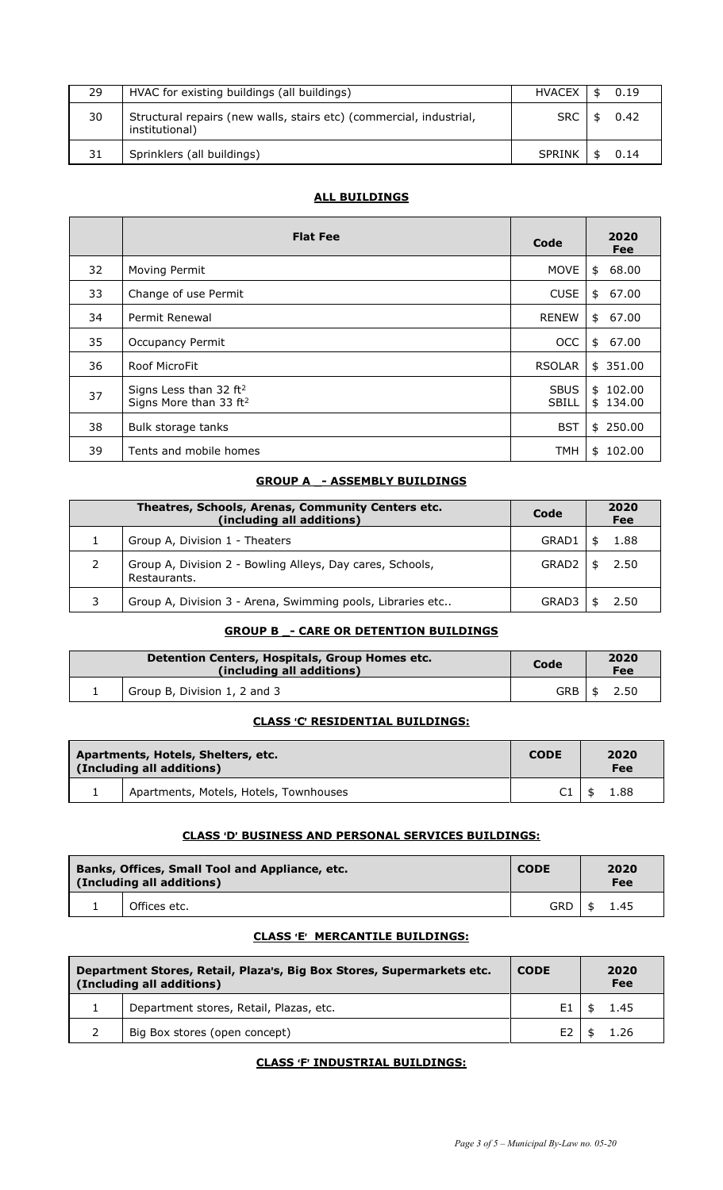| 29. | HVAC for existing buildings (all buildings)                                           | <b>HVACEX</b> | \$<br>0.19 |
|-----|---------------------------------------------------------------------------------------|---------------|------------|
| 30  | Structural repairs (new walls, stairs etc) (commercial, industrial,<br>institutional) | <b>SRC</b>    | \$<br>0.42 |
| 31  | Sprinklers (all buildings)                                                            | <b>SPRINK</b> | \$<br>0.14 |

## **ALL BUILDINGS**

|    | <b>Flat Fee</b>                                                          | Code                        | 2020<br>Fee          |
|----|--------------------------------------------------------------------------|-----------------------------|----------------------|
| 32 | Moving Permit                                                            | <b>MOVE</b>                 | 68.00<br>\$          |
| 33 | Change of use Permit                                                     | <b>CUSE</b>                 | 67.00<br>\$          |
| 34 | Permit Renewal                                                           | <b>RENEW</b>                | 67.00<br>\$          |
| 35 | <b>Occupancy Permit</b>                                                  | <b>OCC</b>                  | \$<br>67.00          |
| 36 | Roof MicroFit                                                            | <b>RSOLAR</b>               | \$351.00             |
| 37 | Signs Less than 32 ft <sup>2</sup><br>Signs More than 33 ft <sup>2</sup> | <b>SBUS</b><br><b>SBILL</b> | \$102.00<br>\$134.00 |
| 38 | Bulk storage tanks                                                       | <b>BST</b>                  | \$250.00             |
| 39 | Tents and mobile homes                                                   | <b>TMH</b>                  | \$102.00             |

## **GROUP A \_- ASSEMBLY BUILDINGS**

| Theatres, Schools, Arenas, Community Centers etc.<br>(including all additions) | Code  | 2020<br>Fee |
|--------------------------------------------------------------------------------|-------|-------------|
| Group A, Division 1 - Theaters                                                 | GRAD1 | 1.88        |
| Group A, Division 2 - Bowling Alleys, Day cares, Schools,<br>Restaurants.      | GRAD2 | 2.50        |
| Group A, Division 3 - Arena, Swimming pools, Libraries etc                     | GRAD  | 2.50        |

## **GROUP B \_- CARE OR DETENTION BUILDINGS**

| Detention Centers, Hospitals, Group Homes etc.<br>(including all additions) |                              | Code  | 2020<br>Fee |
|-----------------------------------------------------------------------------|------------------------------|-------|-------------|
|                                                                             | Group B, Division 1, 2 and 3 | GRB I | 2.50        |

#### **CLASS** >**C**= **RESIDENTIAL BUILDINGS:**

| Apartments, Hotels, Shelters, etc.<br>(Including all additions) |                                        | <b>CODE</b> | 2020<br>Fee |  |
|-----------------------------------------------------------------|----------------------------------------|-------------|-------------|--|
|                                                                 | Apartments, Motels, Hotels, Townhouses | C1          | 1.88        |  |

### **CLASS** >**D**= **BUSINESS AND PERSONAL SERVICES BUILDINGS:**

| Banks, Offices, Small Tool and Appliance, etc.<br>(Including all additions) |              | <b>CODE</b> | 2020<br>Fee |
|-----------------------------------------------------------------------------|--------------|-------------|-------------|
|                                                                             | Offices etc. | <b>GRD</b>  | 1.45<br>\$  |

## **CLASS 'E' MERCANTILE BUILDINGS:**

| Department Stores, Retail, Plaza's, Big Box Stores, Supermarkets etc.<br>(Including all additions) |                                         | <b>CODE</b> | 2020<br>Fee |
|----------------------------------------------------------------------------------------------------|-----------------------------------------|-------------|-------------|
|                                                                                                    | Department stores, Retail, Plazas, etc. |             | 1.45        |
|                                                                                                    | Big Box stores (open concept)           |             |             |

#### **CLASS 'F' INDUSTRIAL BUILDINGS:**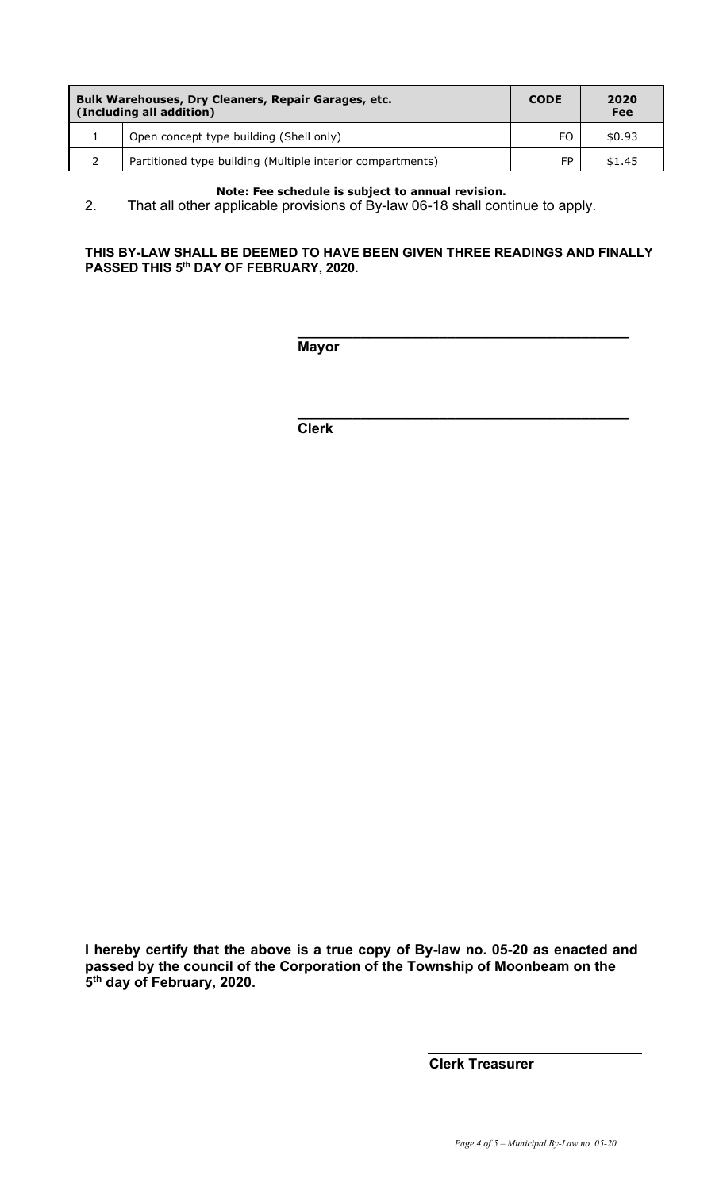| Bulk Warehouses, Dry Cleaners, Repair Garages, etc.<br>(Including all addition) |                                                            | <b>CODE</b> | 2020<br>Fee |
|---------------------------------------------------------------------------------|------------------------------------------------------------|-------------|-------------|
|                                                                                 | Open concept type building (Shell only)                    | FO.         | \$0.93      |
|                                                                                 | Partitioned type building (Multiple interior compartments) | FP.         | \$1.45      |

#### **Note: Fee schedule is subject to annual revision.**

2. That all other applicable provisions of By-law 06-18 shall continue to apply.

#### **THIS BY-LAW SHALL BE DEEMED TO HAVE BEEN GIVEN THREE READINGS AND FINALLY PASSED THIS 5th DAY OF FEBRUARY, 2020.**

**\_\_\_\_\_\_\_\_\_\_\_\_\_\_\_\_\_\_\_\_\_\_\_\_\_\_\_\_\_\_\_\_\_\_\_\_\_\_\_\_\_\_**

**\_\_\_\_\_\_\_\_\_\_\_\_\_\_\_\_\_\_\_\_\_\_\_\_\_\_\_\_\_\_\_\_\_\_\_\_\_\_\_\_\_\_**

**Mayor**

**Clerk**

**I hereby certify that the above is a true copy of By-law no. 05-20 as enacted and passed by the council of the Corporation of the Township of Moonbeam on the 5th day of February, 2020.**

**Clerk Treasurer**